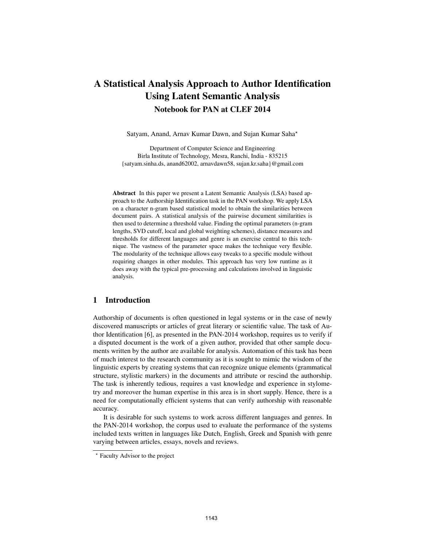# A Statistical Analysis Approach to Author Identification Using Latent Semantic Analysis Notebook for PAN at CLEF 2014

Satyam, Anand, Arnav Kumar Dawn, and Sujan Kumar Saha?

Department of Computer Science and Engineering Birla Institute of Technology, Mesra, Ranchi, India - 835215 {satyam.sinha.ds, anand62002, arnavdawn58, sujan.kr.saha}@gmail.com

Abstract In this paper we present a Latent Semantic Analysis (LSA) based approach to the Authorship Identification task in the PAN workshop. We apply LSA on a character n-gram based statistical model to obtain the similarities between document pairs. A statistical analysis of the pairwise document similarities is then used to determine a threshold value. Finding the optimal parameters (n-gram lengths, SVD cutoff, local and global weighting schemes), distance measures and thresholds for different languages and genre is an exercise central to this technique. The vastness of the parameter space makes the technique very flexible. The modularity of the technique allows easy tweaks to a specific module without requiring changes in other modules. This approach has very low runtime as it does away with the typical pre-processing and calculations involved in linguistic analysis.

# 1 Introduction

Authorship of documents is often questioned in legal systems or in the case of newly discovered manuscripts or articles of great literary or scientific value. The task of Author Identification [6], as presented in the PAN-2014 workshop, requires us to verify if a disputed document is the work of a given author, provided that other sample documents written by the author are available for analysis. Automation of this task has been of much interest to the research community as it is sought to mimic the wisdom of the linguistic experts by creating systems that can recognize unique elements (grammatical structure, stylistic markers) in the documents and attribute or rescind the authorship. The task is inherently tedious, requires a vast knowledge and experience in stylometry and moreover the human expertise in this area is in short supply. Hence, there is a need for computationally efficient systems that can verify authorship with reasonable accuracy.

It is desirable for such systems to work across different languages and genres. In the PAN-2014 workshop, the corpus used to evaluate the performance of the systems included texts written in languages like Dutch, English, Greek and Spanish with genre varying between articles, essays, novels and reviews.

<sup>?</sup> Faculty Advisor to the project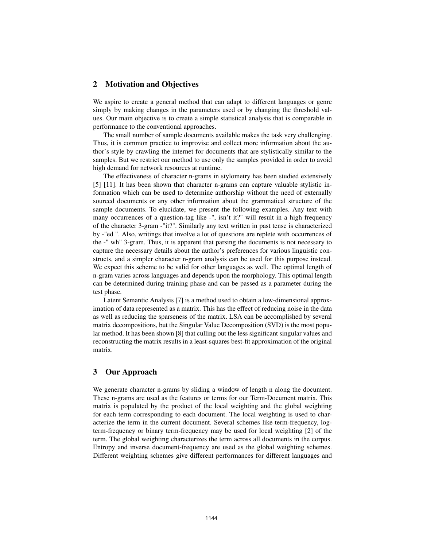# 2 Motivation and Objectives

We aspire to create a general method that can adapt to different languages or genre simply by making changes in the parameters used or by changing the threshold values. Our main objective is to create a simple statistical analysis that is comparable in performance to the conventional approaches.

The small number of sample documents available makes the task very challenging. Thus, it is common practice to improvise and collect more information about the author's style by crawling the internet for documents that are stylistically similar to the samples. But we restrict our method to use only the samples provided in order to avoid high demand for network resources at runtime.

The effectiveness of character n-grams in stylometry has been studied extensively [5] [11]. It has been shown that character n-grams can capture valuable stylistic information which can be used to determine authorship without the need of externally sourced documents or any other information about the grammatical structure of the sample documents. To elucidate, we present the following examples. Any text with many occurrences of a question-tag like -", isn't it?" will result in a high frequency of the character 3-gram -"it?". Similarly any text written in past tense is characterized by -"ed ". Also, writings that involve a lot of questions are replete with occurrences of the -" wh" 3-gram. Thus, it is apparent that parsing the documents is not necessary to capture the necessary details about the author's preferences for various linguistic constructs, and a simpler character n-gram analysis can be used for this purpose instead. We expect this scheme to be valid for other languages as well. The optimal length of n-gram varies across languages and depends upon the morphology. This optimal length can be determined during training phase and can be passed as a parameter during the test phase.

Latent Semantic Analysis [7] is a method used to obtain a low-dimensional approximation of data represented as a matrix. This has the effect of reducing noise in the data as well as reducing the sparseness of the matrix. LSA can be accomplished by several matrix decompositions, but the Singular Value Decomposition (SVD) is the most popular method. It has been shown [8] that culling out the less significant singular values and reconstructing the matrix results in a least-squares best-fit approximation of the original matrix.

# 3 Our Approach

We generate character n-grams by sliding a window of length n along the document. These n-grams are used as the features or terms for our Term-Document matrix. This matrix is populated by the product of the local weighting and the global weighting for each term corresponding to each document. The local weighting is used to characterize the term in the current document. Several schemes like term-frequency, logterm-frequency or binary term-frequency may be used for local weighting [2] of the term. The global weighting characterizes the term across all documents in the corpus. Entropy and inverse document-frequency are used as the global weighting schemes. Different weighting schemes give different performances for different languages and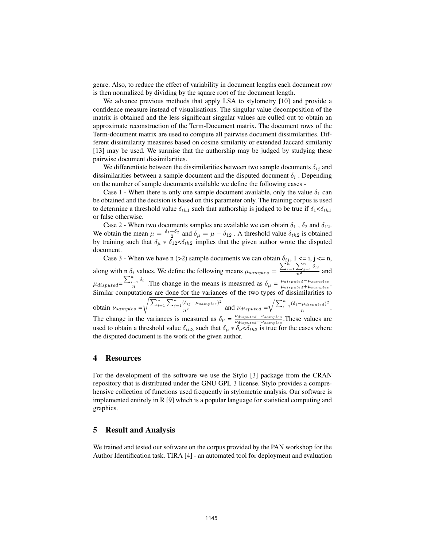genre. Also, to reduce the effect of variability in document lengths each document row is then normalized by dividing by the square root of the document length.

We advance previous methods that apply LSA to stylometry [10] and provide a confidence measure instead of visualisations. The singular value decomposition of the matrix is obtained and the less significant singular values are culled out to obtain an approximate reconstruction of the Term-Document matrix. The document rows of the Term-document matrix are used to compute all pairwise document dissimilarities. Different dissimilarity measures based on cosine similarity or extended Jaccard similarity [13] may be used. We surmise that the authorship may be judged by studying these pairwise document dissimilarities.

We differentiate between the dissimilarities between two sample documents  $\delta_{ij}$  and dissimilarities between a sample document and the disputed document  $\delta_i$ . Depending on the number of sample documents available we define the following cases -

Case 1 - When there is only one sample document available, only the value  $\delta_1$  can be obtained and the decision is based on this parameter only. The training corpus is used to determine a threshold value  $\delta_{th1}$  such that authorship is judged to be true if  $\delta_1 < \delta_{th1}$ or false otherwise.

Case 2 - When two documents samples are available we can obtain  $\delta_1$ ,  $\delta_2$  and  $\delta_{12}$ . We obtain the mean  $\mu = \frac{\delta_1 + \delta_2}{2}$  and  $\delta_{\mu} = \mu - \delta_{12}$ . A threshold value  $\delta_{th2}$  is obtained by training such that  $\delta_{\mu} * \delta_{12} < \delta_{th2}$  implies that the given author wrote the disputed document.

Case 3 - When we have n (>2) sample documents we can obtain  $\delta_{ij}$ , 1 <= i, j <= n, along with n  $\delta_i$  values. We define the following means  $\mu_{samples} =$  $\frac{\sum_{i=1}^{n} \sum_{j=1}^{n} \delta_{ij}}{n^2}$  and  $\mu_{disputed} = \frac{\sum_{i=1}^{n} \delta_i}{n}$  $\frac{e^{i\pi i}}{n}$ . The change in the means is measured as  $\delta_{\mu} = \frac{\mu_{disputed} - \mu_{samples}}{\mu_{disputed} + \mu_{samples}}$  $\frac{\mu_{disputed}-\mu_{samples}}{\mu_{disputed}+\mu_{samples}}.$ Similar computations are done for the variances of the two types of dissimilarities to obtain  $\nu_{samples}$  =  $\sqrt{\frac{\sum_{i=1}^{n}\sum_{j=1}^{n}(\delta_{ij}-\mu_{samples})^2}{n^2}}$  and  $\nu_{disputed} = \sqrt{\frac{\sum_{i=1}^{n}(\delta_{i}-\mu_{disputed})^2}{n^2}}$  $rac{p_{\textit{u}}}{n}$ . The change in the variances is measured as  $\delta_{\nu} = \frac{\nu_{disputed} - \nu_{samples}}{\nu_{dismitted} + \nu_{samples}}$  $\frac{\nu_{disputed}-\nu_{samples}}{\nu_{disputed}+\nu_{samples}}$ . These values are used to obtain a threshold value  $\delta_{th3}$  such that  $\delta_{\mu} * \delta_{\nu} < \delta_{th3}$  is true for the cases where the disputed document is the work of the given author.

#### 4 Resources

For the development of the software we use the Stylo [3] package from the CRAN repository that is distributed under the GNU GPL 3 license. Stylo provides a comprehensive collection of functions used frequently in stylometric analysis. Our software is implemented entirely in R [9] which is a popular language for statistical computing and graphics.

#### 5 Result and Analysis

We trained and tested our software on the corpus provided by the PAN workshop for the Author Identification task. TIRA [4] - an automated tool for deployment and evaluation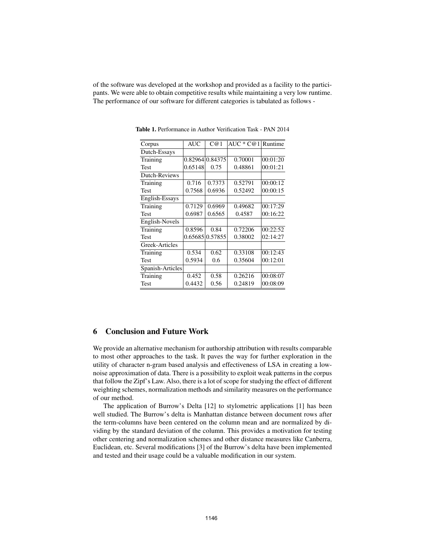of the software was developed at the workshop and provided as a facility to the participants. We were able to obtain competitive results while maintaining a very low runtime. The performance of our software for different categories is tabulated as follows -

| <b>AUC</b> | C@1     | AUC $*$ C@1 | Runtime         |
|------------|---------|-------------|-----------------|
|            |         |             |                 |
|            |         | 0.70001     | 00:01:20        |
| 0.65148    | 0.75    | 0.48861     | 00:01:21        |
|            |         |             |                 |
| 0.716      | 0.7373  | 0.52791     | 00:00:12        |
| 0.7568     | 0.6936  | 0.52492     | 00:00:15        |
|            |         |             |                 |
| 0.7129     | 0.6969  | 0.49682     | 00:17:29        |
| 0.6987     | 0.6565  | 0.4587      | 00:16:22        |
|            |         |             |                 |
| 0.8596     | 0.84    | 0.72206     | 00:22:52        |
| 0.65685    | 0.57855 | 0.38002     | 02:14:27        |
|            |         |             |                 |
| 0.534      | 0.62    | 0.33108     | 00:12:43        |
| 0.5934     | 0.6     | 0.35604     | 00:12:01        |
|            |         |             |                 |
| 0.452      | 0.58    | 0.26216     | 00:08:07        |
| 0.4432     | 0.56    | 0.24819     | 00:08:09        |
|            |         |             | 0.82964 0.84375 |

Table 1. Performance in Author Verification Task - PAN 2014

## 6 Conclusion and Future Work

We provide an alternative mechanism for authorship attribution with results comparable to most other approaches to the task. It paves the way for further exploration in the utility of character n-gram based analysis and effectiveness of LSA in creating a lownoise approximation of data. There is a possibility to exploit weak patterns in the corpus that follow the Zipf's Law. Also, there is a lot of scope for studying the effect of different weighting schemes, normalization methods and similarity measures on the performance of our method.

The application of Burrow's Delta [12] to stylometric applications [1] has been well studied. The Burrow's delta is Manhattan distance between document rows after the term-columns have been centered on the column mean and are normalized by dividing by the standard deviation of the column. This provides a motivation for testing other centering and normalization schemes and other distance measures like Canberra, Euclidean, etc. Several modifications [3] of the Burrow's delta have been implemented and tested and their usage could be a valuable modification in our system.